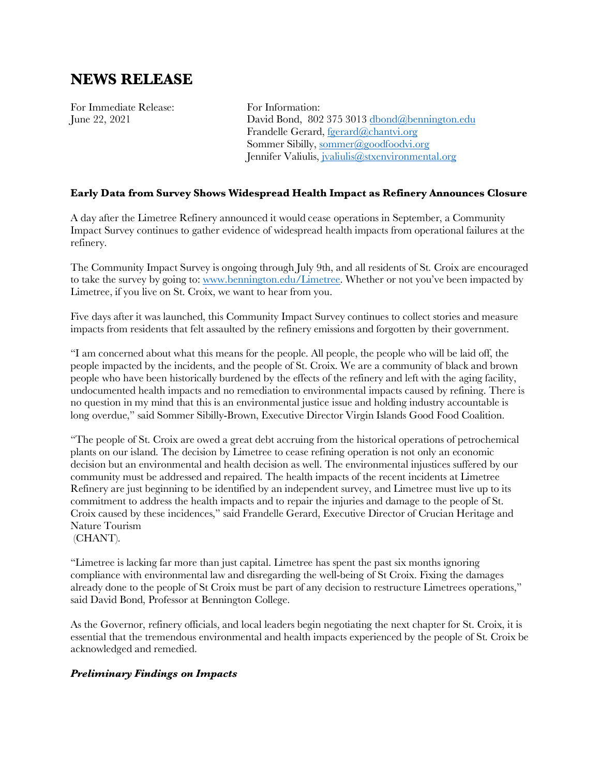## **NEWS RELEASE**

For Immediate Release: For Information:

June 22, 2021 David Bond, 802 375 3013 dbond@bennington.edu Frandelle Gerard, fgerard@chantvi.org Sommer Sibilly, sommer@goodfoodvi.org Jennifer Valiulis, jvaliulis@stxenvironmental.org

## **Early Data from Survey Shows Widespread Health Impact as Refinery Announces Closure**

A day after the Limetree Refinery announced it would cease operations in September, a Community Impact Survey continues to gather evidence of widespread health impacts from operational failures at the refinery.

The Community Impact Survey is ongoing through July 9th, and all residents of St. Croix are encouraged to take the survey by going to: www.bennington.edu/Limetree. Whether or not you've been impacted by Limetree, if you live on St. Croix, we want to hear from you.

Five days after it was launched, this Community Impact Survey continues to collect stories and measure impacts from residents that felt assaulted by the refinery emissions and forgotten by their government.

"I am concerned about what this means for the people. All people, the people who will be laid off, the people impacted by the incidents, and the people of St. Croix. We are a community of black and brown people who have been historically burdened by the effects of the refinery and left with the aging facility, undocumented health impacts and no remediation to environmental impacts caused by refining. There is no question in my mind that this is an environmental justice issue and holding industry accountable is long overdue," said Sommer Sibilly-Brown, Executive Director Virgin Islands Good Food Coalition.

"The people of St. Croix are owed a great debt accruing from the historical operations of petrochemical plants on our island. The decision by Limetree to cease refining operation is not only an economic decision but an environmental and health decision as well. The environmental injustices suffered by our community must be addressed and repaired. The health impacts of the recent incidents at Limetree Refinery are just beginning to be identified by an independent survey, and Limetree must live up to its commitment to address the health impacts and to repair the injuries and damage to the people of St. Croix caused by these incidences," said Frandelle Gerard, Executive Director of Crucian Heritage and Nature Tourism

(CHANT).

"Limetree is lacking far more than just capital. Limetree has spent the past six months ignoring compliance with environmental law and disregarding the well-being of St Croix. Fixing the damages already done to the people of St Croix must be part of any decision to restructure Limetrees operations," said David Bond, Professor at Bennington College.

As the Governor, refinery officials, and local leaders begin negotiating the next chapter for St. Croix, it is essential that the tremendous environmental and health impacts experienced by the people of St. Croix be acknowledged and remedied.

## *Preliminary Findings on Impacts*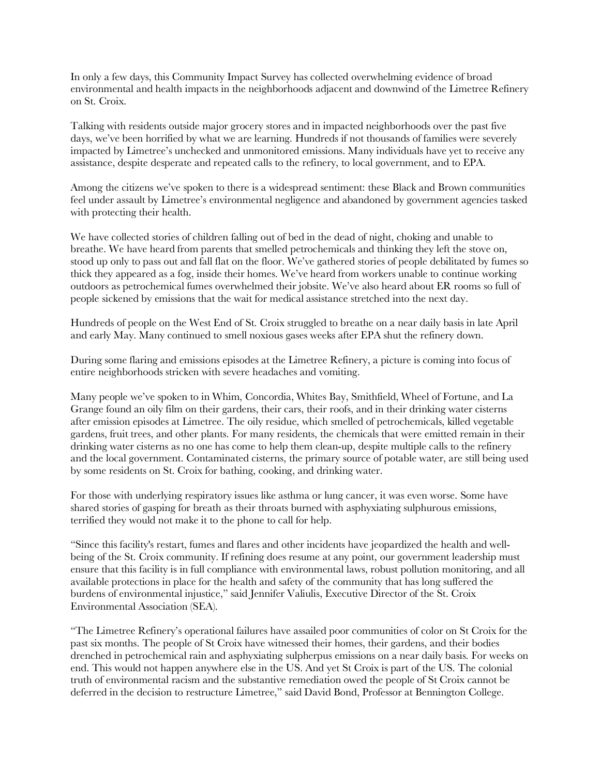In only a few days, this Community Impact Survey has collected overwhelming evidence of broad environmental and health impacts in the neighborhoods adjacent and downwind of the Limetree Refinery on St. Croix.

Talking with residents outside major grocery stores and in impacted neighborhoods over the past five days, we've been horrified by what we are learning. Hundreds if not thousands of families were severely impacted by Limetree's unchecked and unmonitored emissions. Many individuals have yet to receive any assistance, despite desperate and repeated calls to the refinery, to local government, and to EPA.

Among the citizens we've spoken to there is a widespread sentiment: these Black and Brown communities feel under assault by Limetree's environmental negligence and abandoned by government agencies tasked with protecting their health.

We have collected stories of children falling out of bed in the dead of night, choking and unable to breathe. We have heard from parents that smelled petrochemicals and thinking they left the stove on, stood up only to pass out and fall flat on the floor. We've gathered stories of people debilitated by fumes so thick they appeared as a fog, inside their homes. We've heard from workers unable to continue working outdoors as petrochemical fumes overwhelmed their jobsite. We've also heard about ER rooms so full of people sickened by emissions that the wait for medical assistance stretched into the next day.

Hundreds of people on the West End of St. Croix struggled to breathe on a near daily basis in late April and early May. Many continued to smell noxious gases weeks after EPA shut the refinery down.

During some flaring and emissions episodes at the Limetree Refinery, a picture is coming into focus of entire neighborhoods stricken with severe headaches and vomiting.

Many people we've spoken to in Whim, Concordia, Whites Bay, Smithfield, Wheel of Fortune, and La Grange found an oily film on their gardens, their cars, their roofs, and in their drinking water cisterns after emission episodes at Limetree. The oily residue, which smelled of petrochemicals, killed vegetable gardens, fruit trees, and other plants. For many residents, the chemicals that were emitted remain in their drinking water cisterns as no one has come to help them clean-up, despite multiple calls to the refinery and the local government. Contaminated cisterns, the primary source of potable water, are still being used by some residents on St. Croix for bathing, cooking, and drinking water.

For those with underlying respiratory issues like asthma or lung cancer, it was even worse. Some have shared stories of gasping for breath as their throats burned with asphyxiating sulphurous emissions, terrified they would not make it to the phone to call for help.

"Since this facility's restart, fumes and flares and other incidents have jeopardized the health and wellbeing of the St. Croix community. If refining does resume at any point, our government leadership must ensure that this facility is in full compliance with environmental laws, robust pollution monitoring, and all available protections in place for the health and safety of the community that has long suffered the burdens of environmental injustice," said Jennifer Valiulis, Executive Director of the St. Croix Environmental Association (SEA).

"The Limetree Refinery's operational failures have assailed poor communities of color on St Croix for the past six months. The people of St Croix have witnessed their homes, their gardens, and their bodies drenched in petrochemical rain and asphyxiating sulpherpus emissions on a near daily basis. For weeks on end. This would not happen anywhere else in the US. And yet St Croix is part of the US. The colonial truth of environmental racism and the substantive remediation owed the people of St Croix cannot be deferred in the decision to restructure Limetree," said David Bond, Professor at Bennington College.